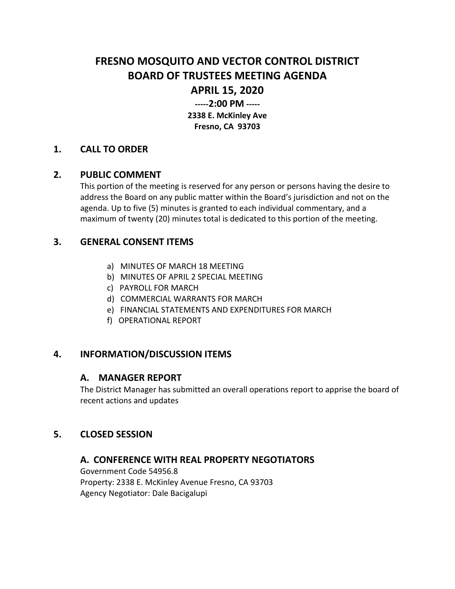# **FRESNO MOSQUITO AND VECTOR CONTROL DISTRICT BOARD OF TRUSTEES MEETING AGENDA**

# **APRIL 15, 2020**

**-----2:00 PM ----- 2338 E. McKinley Ave Fresno, CA 93703**

### **1. CALL TO ORDER**

### **2. PUBLIC COMMENT**

This portion of the meeting is reserved for any person or persons having the desire to address the Board on any public matter within the Board's jurisdiction and not on the agenda. Up to five (5) minutes is granted to each individual commentary, and a maximum of twenty (20) minutes total is dedicated to this portion of the meeting.

### **3. GENERAL CONSENT ITEMS**

- a) MINUTES OF MARCH 18 MEETING
- b) MINUTES OF APRIL 2 SPECIAL MEETING
- c) PAYROLL FOR MARCH
- d) COMMERCIAL WARRANTS FOR MARCH
- e) FINANCIAL STATEMENTS AND EXPENDITURES FOR MARCH
- f) OPERATIONAL REPORT

# **4. INFORMATION/DISCUSSION ITEMS**

#### **A. MANAGER REPORT**

The District Manager has submitted an overall operations report to apprise the board of recent actions and updates

# **5. CLOSED SESSION**

# **A. CONFERENCE WITH REAL PROPERTY NEGOTIATORS**

Government Code 54956.8 Property: 2338 E. McKinley Avenue Fresno, CA 93703 Agency Negotiator: Dale Bacigalupi